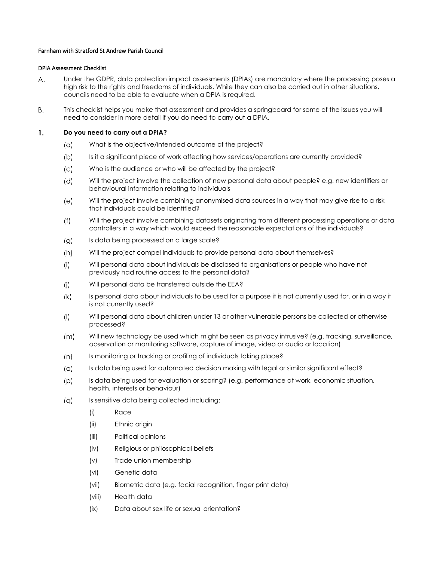## Farnham with Stratford St Andrew Parish Council

## DPIA Assessment Checklist

- Under the GDPR, data protection impact assessments (DPIAs) are mandatory where the processing poses a А. high risk to the rights and freedoms of individuals. While they can also be carried out in other situations, councils need to be able to evaluate when a DPIA is required.
- Β. This checklist helps you make that assessment and provides a springboard for some of the issues you will need to consider in more detail if you do need to carry out a DPIA.

## 1. **Do you need to carry out a DPIA?**

- What is the objective/intended outcome of the project?  $(a)$
- $(b)$ Is it a significant piece of work affecting how services/operations are currently provided?
- Who is the audience or who will be affected by the project?  $\mathcal{L}$
- Will the project involve the collection of new personal data about people? e.g. new identifiers or (d) behavioural information relating to individuals
- $(e)$ Will the project involve combining anonymised data sources in a way that may give rise to a risk that individuals could be identified?
- $(f)$ Will the project involve combining datasets originating from different processing operations or data controllers in a way which would exceed the reasonable expectations of the individuals?
- $\alpha$ Is data being processed on a large scale?
- $(h)$ Will the project compel individuals to provide personal data about themselves?
- Will personal data about individuals be disclosed to organisations or people who have not  $(i)$ previously had routine access to the personal data?
- $(i)$ Will personal data be transferred outside the EEA?
- Is personal data about individuals to be used for a purpose it is not currently used for, or in a way it  $(k)$ is not currently used?
- $($ | Will personal data about children under 13 or other vulnerable persons be collected or otherwise processed?
- $(m)$ Will new technology be used which might be seen as privacy intrusive? (e.g. tracking, surveillance, observation or monitoring software, capture of image, video or audio or location)
- $(n)$ Is monitoring or tracking or profiling of individuals taking place?
- $\circ$ Is data being used for automated decision making with legal or similar significant effect?
- Is data being used for evaluation or scoring? (e.g. performance at work, economic situation,  $(p)$ health, interests or behaviour)
- $(q)$ Is sensitive data being collected including:
	- (i) Race
	- (ii) Ethnic origin
	- (iii) Political opinions
	- (iv) Religious or philosophical beliefs
	- (v) Trade union membership
	- (vi) Genetic data
	- (vii) Biometric data (e.g. facial recognition, finger print data)
	- (viii) Health data
	- (ix) Data about sex life or sexual orientation?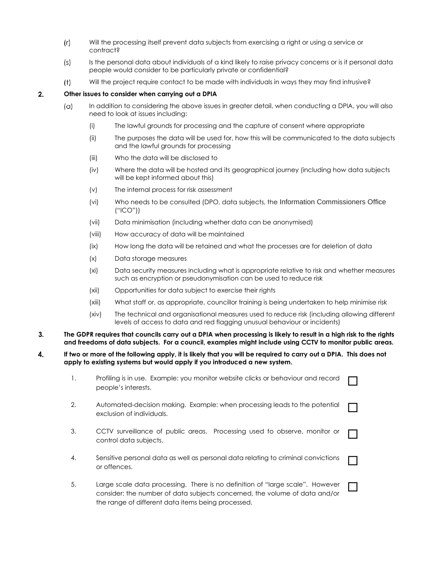- $(r)$ Will the processing itself prevent data subjects from exercising a right or using a service or contract?
- Is the personal data about individuals of a kind likely to raise privacy concerns or is it personal data  $(s)$ people would consider to be particularly private or confidential?
- Will the project require contact to be made with individuals in ways they may find intrusive?  $(t)$

## **Other issues to consider when carrying out a DPIA**  $2.$

- $(\alpha)$ In addition to considering the above issues in greater detail, when conducting a DPIA, you will also need to look at issues including:
	- (i) The lawful grounds for processing and the capture of consent where appropriate
	- (ii) The purposes the data will be used for, how this will be communicated to the data subjects and the lawful grounds for processing
	- (iii) Who the data will be disclosed to
	- (iv) Where the data will be hosted and its geographical journey (including how data subjects will be kept informed about this)
	- (v) The internal process for risk assessment
	- (vi) Who needs to be consulted (DPO, data subjects, the Information Commissioners Office ("ICO"))
	- (vii) Data minimisation (including whether data can be anonymised)
	- (viii) How accuracy of data will be maintained
	- (ix) How long the data will be retained and what the processes are for deletion of data
	- (x) Data storage measures
	- (xi) Data security measures including what is appropriate relative to risk and whether measures such as encryption or pseudonymisation can be used to reduce risk
	- (xii) Opportunities for data subject to exercise their rights
	- (xiii) What staff or, as appropriate, councillor training is being undertaken to help minimise risk
	- (xiv) The technical and organisational measures used to reduce risk (including allowing different levels of access to data and red flagging unusual behaviour or incidents)

 $\Box$ 

- **The GDPR requires that councils carry out a DPIA when processing is likely to result in a high risk to the rights** 3. **and freedoms of data subjects. For a council, examples might include using CCTV to monitor public areas.**
- 4. **If two or more of the following apply, it is likely that you will be required to carry out a DPIA. This does not apply to existing systems but would apply if you introduced a new system.**

|    | Profiling is in use. Example: you monitor website clicks or behaviour and record<br>people's interests. |  |
|----|---------------------------------------------------------------------------------------------------------|--|
| 2. | Automated-decision making. Example: when processing leads to the potential<br>exclusion of individuals. |  |
| 3. | CCTV surveillance of public areas. Processing used to observe, monitor or<br>control data subjects.     |  |
| 4. | Sensitive personal data as well as personal data relating to criminal convictions<br>or offences.       |  |

5. Large scale data processing. There is no definition of "large scale". However consider: the number of data subjects concerned, the volume of data and/or the range of different data items being processed.